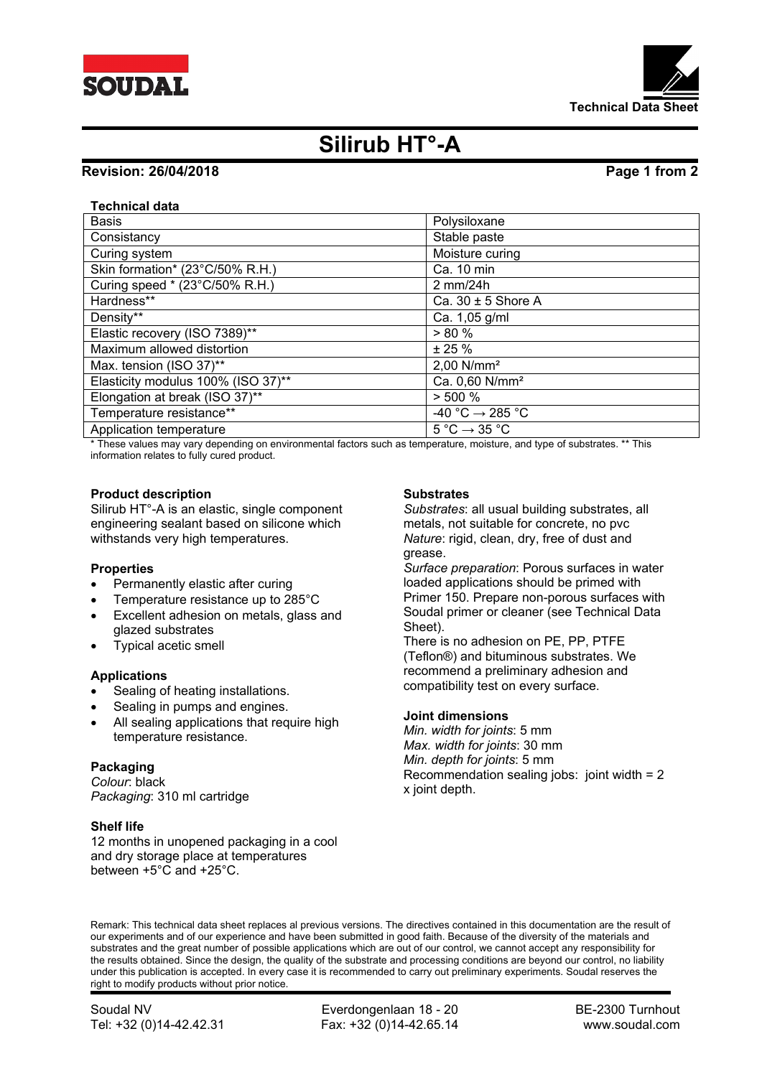



# **Silirub HT°-A**

# **Revision: 26/04/2018 Page 1 from 2**

## **Technical data**

| <b>Basis</b>                       | Polysiloxane                                |
|------------------------------------|---------------------------------------------|
| Consistancy                        | Stable paste                                |
| Curing system                      | Moisture curing                             |
| Skin formation* (23°C/50% R.H.)    | Ca. 10 min                                  |
| Curing speed * (23°C/50% R.H.)     | 2 mm/24h                                    |
| Hardness**                         | Ca. $30 \pm 5$ Shore A                      |
| Density**                          | Ca. 1,05 g/ml                               |
| Elastic recovery (ISO 7389)**      | > 80%                                       |
| Maximum allowed distortion         | ± 25%                                       |
| Max. tension (ISO 37)**            | $2,00$ N/mm <sup>2</sup>                    |
| Elasticity modulus 100% (ISO 37)** | Ca. 0,60 N/mm <sup>2</sup>                  |
| Elongation at break (ISO 37)**     | $> 500 \%$                                  |
| Temperature resistance**           | -40 °C $\rightarrow$ 285 °C                 |
| Application temperature            | $5^{\circ}$ C $\rightarrow$ 35 $^{\circ}$ C |

\* These values may vary depending on environmental factors such as temperature, moisture, and type of substrates. \*\* This information relates to fully cured product.

#### **Product description**

Silirub HT°-A is an elastic, single component engineering sealant based on silicone which withstands very high temperatures.

#### **Properties**

- Permanently elastic after curing
- Temperature resistance up to 285°C
- Excellent adhesion on metals, glass and glazed substrates
- Typical acetic smell

#### **Applications**

- Sealing of heating installations.
- Sealing in pumps and engines.
- All sealing applications that require high temperature resistance.

### **Packaging**

*Colour*: black *Packaging*: 310 ml cartridge

### **Shelf life**

12 months in unopened packaging in a cool and dry storage place at temperatures between +5°C and +25°C.

#### **Substrates**

*Substrates*: all usual building substrates, all metals, not suitable for concrete, no pvc *Nature*: rigid, clean, dry, free of dust and grease.

*Surface preparation*: Porous surfaces in water loaded applications should be primed with Primer 150. Prepare non-porous surfaces with Soudal primer or cleaner (see Technical Data Sheet).

There is no adhesion on PE, PP, PTFE (Teflon®) and bituminous substrates. We recommend a preliminary adhesion and compatibility test on every surface.

#### **Joint dimensions**

*Min. width for joints*: 5 mm *Max. width for joints*: 30 mm *Min. depth for joints*: 5 mm Recommendation sealing jobs: joint width = 2 x joint depth.

Remark: This technical data sheet replaces al previous versions. The directives contained in this documentation are the result of our experiments and of our experience and have been submitted in good faith. Because of the diversity of the materials and substrates and the great number of possible applications which are out of our control, we cannot accept any responsibility for the results obtained. Since the design, the quality of the substrate and processing conditions are beyond our control, no liability under this publication is accepted. In every case it is recommended to carry out preliminary experiments. Soudal reserves the right to modify products without prior notice.